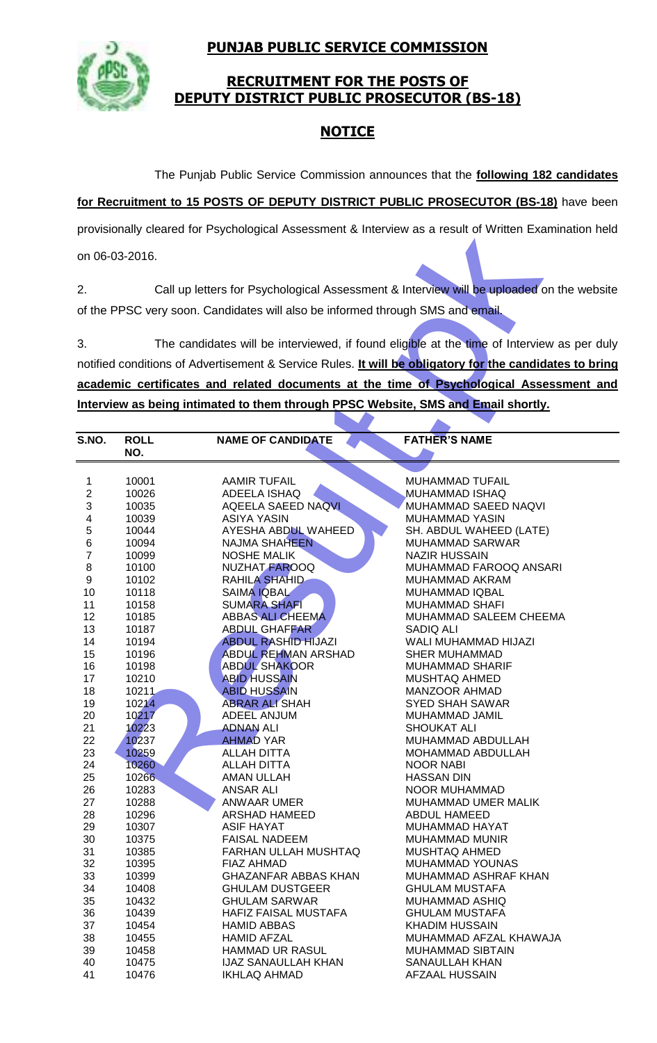**PUNJAB PUBLIC SERVICE COMMISSION**



### **RECRUITMENT FOR THE POSTS OF DEPUTY DISTRICT PUBLIC PROSECUTOR (BS-18)**

## **NOTICE**

The Punjab Public Service Commission announces that the **following 182 candidates** 

**for Recruitment to 15 POSTS OF DEPUTY DISTRICT PUBLIC PROSECUTOR (BS-18)** have been

| provisionally cleared for Psychological Assessment & Interview as a result of Written Examination held |                    |                                                                                   |                                                                                                         |  |  |  |
|--------------------------------------------------------------------------------------------------------|--------------------|-----------------------------------------------------------------------------------|---------------------------------------------------------------------------------------------------------|--|--|--|
|                                                                                                        | on 06-03-2016.     |                                                                                   |                                                                                                         |  |  |  |
| 2.                                                                                                     |                    |                                                                                   | Call up letters for Psychological Assessment & Interview will be uploaded on the website                |  |  |  |
|                                                                                                        |                    | of the PPSC very soon. Candidates will also be informed through SMS and email.    |                                                                                                         |  |  |  |
|                                                                                                        |                    |                                                                                   |                                                                                                         |  |  |  |
| 3.                                                                                                     |                    |                                                                                   | The candidates will be interviewed, if found eligible at the time of Interview as per duly              |  |  |  |
|                                                                                                        |                    |                                                                                   | notified conditions of Advertisement & Service Rules. It will be obligatory for the candidates to bring |  |  |  |
|                                                                                                        |                    |                                                                                   | academic certificates and related documents at the time of Psychological Assessment and                 |  |  |  |
|                                                                                                        |                    |                                                                                   |                                                                                                         |  |  |  |
|                                                                                                        |                    | Interview as being intimated to them through PPSC Website, SMS and Email shortly. |                                                                                                         |  |  |  |
|                                                                                                        |                    |                                                                                   |                                                                                                         |  |  |  |
| S.NO.                                                                                                  | <b>ROLL</b><br>NO. | <b>NAME OF CANDIDATE</b>                                                          | <b>FATHER'S NAME</b>                                                                                    |  |  |  |
|                                                                                                        |                    |                                                                                   |                                                                                                         |  |  |  |
| 1                                                                                                      | 10001              | <b>AAMIR TUFAIL</b>                                                               | MUHAMMAD TUFAIL                                                                                         |  |  |  |
| $\overline{2}$                                                                                         | 10026              | ADEELA ISHAQ                                                                      | MUHAMMAD ISHAQ                                                                                          |  |  |  |
| 3                                                                                                      | 10035              | <b>AQEELA SAEED NAQVI</b>                                                         | MUHAMMAD SAEED NAQVI                                                                                    |  |  |  |
| 4                                                                                                      | 10039              | <b>ASIYA YASIN</b>                                                                | <b>MUHAMMAD YASIN</b>                                                                                   |  |  |  |
| 5                                                                                                      | 10044              | AYESHA ABDUL WAHEED                                                               | SH. ABDUL WAHEED (LATE)                                                                                 |  |  |  |
| 6                                                                                                      | 10094              | <b>NAJMA SHAHEEN</b>                                                              | <b>MUHAMMAD SARWAR</b>                                                                                  |  |  |  |
| $\overline{7}$                                                                                         | 10099              | <b>NOSHE MALIK</b>                                                                | <b>NAZIR HUSSAIN</b>                                                                                    |  |  |  |
| 8                                                                                                      | 10100              | NUZHAT FAROOQ                                                                     | MUHAMMAD FAROOQ ANSARI                                                                                  |  |  |  |
| 9                                                                                                      | 10102              | <b>RAHILA SHAHID</b>                                                              | MUHAMMAD AKRAM                                                                                          |  |  |  |
| 10                                                                                                     | 10118              | <b>SAIMA IQBAL</b>                                                                | <b>MUHAMMAD IQBAL</b>                                                                                   |  |  |  |
| 11                                                                                                     | 10158              | <b>SUMARA SHAFI</b>                                                               | <b>MUHAMMAD SHAFI</b>                                                                                   |  |  |  |
| 12                                                                                                     | 10185              | <b>ABBAS ALL CHEEMA</b>                                                           | MUHAMMAD SALEEM CHEEMA                                                                                  |  |  |  |
| 13                                                                                                     | 10187              | <b>ABDUL GHAFFAR</b>                                                              | SADIQ ALI                                                                                               |  |  |  |
| 14                                                                                                     | 10194              | <b>ABDUL RASHID HIJAZI</b><br><b>ABDUL REHMAN ARSHAD</b>                          | WALI MUHAMMAD HIJAZI                                                                                    |  |  |  |
| 15<br>16                                                                                               | 10196<br>10198     | <b>ABDUL SHAKOOR</b>                                                              | <b>SHER MUHAMMAD</b><br><b>MUHAMMAD SHARIF</b>                                                          |  |  |  |
| 17                                                                                                     | 10210              | <b>ABID HUSSAIN</b>                                                               | MUSHTAQ AHMED                                                                                           |  |  |  |
| 18                                                                                                     | 10211              | <b>ABID HUSSAIN</b>                                                               | <b>MANZOOR AHMAD</b>                                                                                    |  |  |  |
| 19                                                                                                     | 10214              | <b>ABRAR ALI SHAH</b>                                                             | SYED SHAH SAWAR                                                                                         |  |  |  |
| 20                                                                                                     | 10217              | ADEEL ANJUM                                                                       | MUHAMMAD JAMIL                                                                                          |  |  |  |
| 21                                                                                                     | 10223              | <b>ADNAN ALI</b>                                                                  | <b>SHOUKAT ALI</b>                                                                                      |  |  |  |
| 22                                                                                                     | 10237              | <b>AHMAD YAR</b>                                                                  | MUHAMMAD ABDULLAH                                                                                       |  |  |  |
| 23                                                                                                     | 10259              | <b>ALLAH DITTA</b>                                                                | MOHAMMAD ABDULLAH                                                                                       |  |  |  |
| 24                                                                                                     | 10260              | <b>ALLAH DITTA</b>                                                                | <b>NOOR NABI</b>                                                                                        |  |  |  |
| 25                                                                                                     | 10266              | <b>AMAN ULLAH</b>                                                                 | <b>HASSAN DIN</b>                                                                                       |  |  |  |
| 26                                                                                                     | 10283              | <b>ANSAR ALI</b>                                                                  | NOOR MUHAMMAD                                                                                           |  |  |  |
| 27                                                                                                     | 10288              | ANWAAR UMER                                                                       | MUHAMMAD UMER MALIK                                                                                     |  |  |  |
| 28                                                                                                     | 10296              | ARSHAD HAMEED                                                                     | ABDUL HAMEED                                                                                            |  |  |  |
| 29                                                                                                     | 10307              | <b>ASIF HAYAT</b>                                                                 | <b>MUHAMMAD HAYAT</b>                                                                                   |  |  |  |
| 30                                                                                                     | 10375              | <b>FAISAL NADEEM</b>                                                              | <b>MUHAMMAD MUNIR</b>                                                                                   |  |  |  |
| 31                                                                                                     | 10385              | FARHAN ULLAH MUSHTAQ                                                              | <b>MUSHTAQ AHMED</b>                                                                                    |  |  |  |
| 32                                                                                                     | 10395              | FIAZ AHMAD                                                                        | MUHAMMAD YOUNAS                                                                                         |  |  |  |
| 33                                                                                                     | 10399              | <b>GHAZANFAR ABBAS KHAN</b>                                                       | MUHAMMAD ASHRAF KHAN                                                                                    |  |  |  |
| 34                                                                                                     | 10408              | <b>GHULAM DUSTGEER</b>                                                            | <b>GHULAM MUSTAFA</b>                                                                                   |  |  |  |
| 35                                                                                                     | 10432              | <b>GHULAM SARWAR</b>                                                              | MUHAMMAD ASHIQ                                                                                          |  |  |  |
| 36                                                                                                     | 10439              | HAFIZ FAISAL MUSTAFA                                                              | <b>GHULAM MUSTAFA</b>                                                                                   |  |  |  |
| 37                                                                                                     | 10454              | <b>HAMID ABBAS</b>                                                                | <b>KHADIM HUSSAIN</b>                                                                                   |  |  |  |
| 38                                                                                                     | 10455              | <b>HAMID AFZAL</b>                                                                | MUHAMMAD AFZAL KHAWAJA                                                                                  |  |  |  |
| 39                                                                                                     | 10458              | <b>HAMMAD UR RASUL</b>                                                            | <b>MUHAMMAD SIBTAIN</b>                                                                                 |  |  |  |
| 40<br>41                                                                                               | 10475<br>10476     | <b>IJAZ SANAULLAH KHAN</b><br>IKHLAQ AHMAD                                        | <b>SANAULLAH KHAN</b><br>AFZAAL HUSSAIN                                                                 |  |  |  |
|                                                                                                        |                    |                                                                                   |                                                                                                         |  |  |  |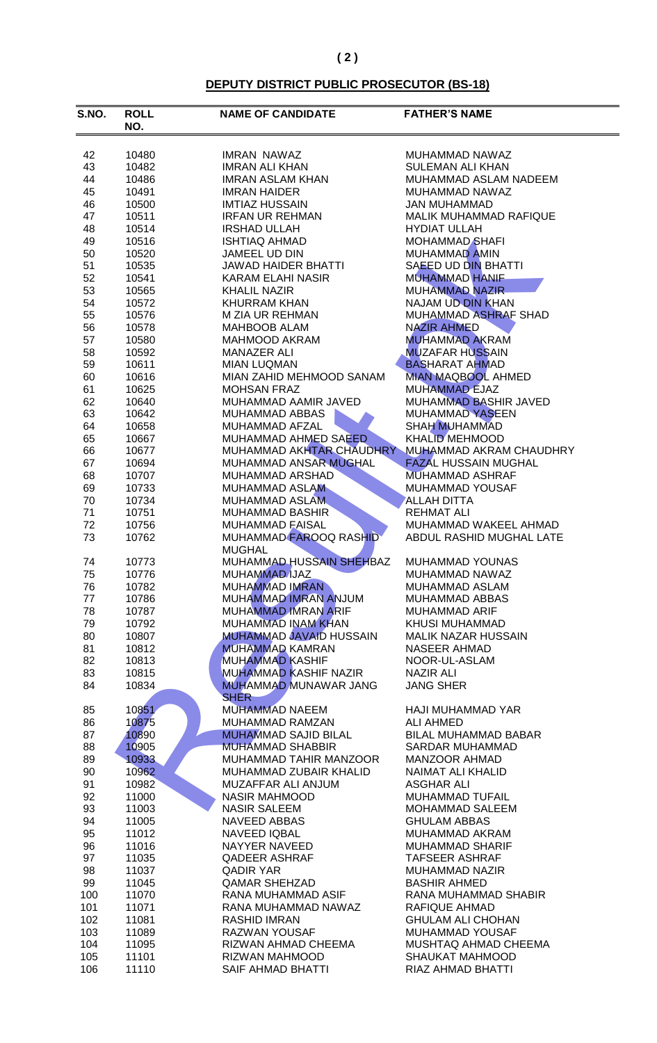#### **DEPUTY DISTRICT PUBLIC PROSECUTOR (BS-18)**

| S.NO.    | <b>ROLL</b><br>NO. | <b>NAME OF CANDIDATE</b>       | <b>FATHER'S NAME</b>                              |
|----------|--------------------|--------------------------------|---------------------------------------------------|
| 42       | 10480              | <b>IMRAN NAWAZ</b>             | MUHAMMAD NAWAZ                                    |
| 43       | 10482              | <b>IMRAN ALI KHAN</b>          | <b>SULEMAN ALI KHAN</b>                           |
| 44       | 10486              | <b>IMRAN ASLAM KHAN</b>        | MUHAMMAD ASLAM NADEEM                             |
| 45       | 10491              | <b>IMRAN HAIDER</b>            | MUHAMMAD NAWAZ                                    |
| 46       | 10500              | <b>IMTIAZ HUSSAIN</b>          | <b>JAN MUHAMMAD</b>                               |
| 47       | 10511              | <b>IRFAN UR REHMAN</b>         | MALIK MUHAMMAD RAFIQUE                            |
| 48       | 10514              | <b>IRSHAD ULLAH</b>            | <b>HYDIAT ULLAH</b>                               |
| 49       | 10516              | <b>ISHTIAQ AHMAD</b>           | <b>MOHAMMAD SHAFI</b>                             |
| 50       | 10520              | JAMEEL UD DIN                  | MUHAMMAD AMIN                                     |
| 51       | 10535              | <b>JAWAD HAIDER BHATTI</b>     | <b>SAEED UD DIN BHATTI</b>                        |
| 52       | 10541              | <b>KARAM ELAHI NASIR</b>       | <b>MUHAMMAD HANIF</b>                             |
| 53       | 10565              | <b>KHALIL NAZIR</b>            | <b>MUHAMMAD NAZIR</b>                             |
| 54       | 10572              | <b>KHURRAM KHAN</b>            | <b>NAJAM UD DIN KHAN</b>                          |
| 55<br>56 | 10576              | M ZIA UR REHMAN                | <b>MUHAMMAD ASHRAF SHAD</b><br><b>NAZIR AHMED</b> |
| 57       | 10578              | MAHBOOB ALAM<br>MAHMOOD AKRAM  | <b>MUHAMMAD AKRAM</b>                             |
| 58       | 10580<br>10592     | <b>MANAZER ALI</b>             | <b>MUZAFAR HUSSAIN</b>                            |
| 59       | 10611              | <b>MIAN LUQMAN</b>             | <b>BASHARAT AHMAD</b>                             |
| 60       | 10616              | MIAN ZAHID MEHMOOD SANAM       | <b>MIAN MAQBOOL AHMED</b>                         |
| 61       | 10625              | <b>MOHSAN FRAZ</b>             | <b>MUHAMMAD EJAZ</b>                              |
| 62       | 10640              | MUHAMMAD AAMIR JAVED           | MUHAMMAD BASHIR JAVED                             |
| 63       | 10642              | MUHAMMAD ABBAS                 | <b>MUHAMMAD YASEEN</b>                            |
| 64       | 10658              | MUHAMMAD AFZAL                 | <b>SHAH MUHAMMAD</b>                              |
| 65       | 10667              | MUHAMMAD AHMED SAEED           | <b>KHALID MEHMOOD</b>                             |
| 66       | 10677              | MUHAMMAD AKHTAR CHAUDHRY       | MUHAMMAD AKRAM CHAUDHRY                           |
| 67       | 10694              | MUHAMMAD ANSAR MUGHAL          | <b>FAZAL HUSSAIN MUGHAL</b>                       |
| 68       | 10707              | MUHAMMAD ARSHAD                | <b>MUHAMMAD ASHRAF</b>                            |
| 69       | 10733              | MUHAMMAD ASLAM                 | MUHAMMAD YOUSAF                                   |
| 70       | 10734              | <b>MUHAMMAD ASLAM</b>          | <b>ALLAH DITTA</b>                                |
| 71       | 10751              | <b>MUHAMMAD BASHIR</b>         | <b>REHMAT ALI</b>                                 |
| 72       | 10756              | <b>MUHAMMAD FAISAL</b>         | MUHAMMAD WAKEEL AHMAD                             |
| 73       | 10762              | MUHAMMAD FAROOQ RASHID         | ABDUL RASHID MUGHAL LATE                          |
|          |                    | <b>MUGHAL</b>                  |                                                   |
| 74       | 10773              | MUHAMMAD HUSSAIN SHEHBAZ       | MUHAMMAD YOUNAS                                   |
| 75       | 10776              | <b>MUHAMMAD IJAZ</b>           | MUHAMMAD NAWAZ                                    |
| 76       | 10782              | MUHAMMAD IMRAN                 | MUHAMMAD ASLAM                                    |
| 77       | 10786              | MUHAMMAD IMRAN ANJUM           | MUHAMMAD ABBAS                                    |
| 78       | 10787              | MUHAMMAD IMRAN ARIF            | <b>MUHAMMAD ARIF</b>                              |
| 79       | 10792              | <b>MUHAMMAD INAM KHAN</b>      | <b>KHUSI MUHAMMAD</b>                             |
| 80       | 10807              | <b>MUHAMMAD JAVAID HUSSAIN</b> | <b>MALIK NAZAR HUSSAIN</b>                        |
| 81       | 10812              | <b>MUHAMMAD KAMRAN</b>         | <b>NASEER AHMAD</b>                               |
| 82       | 10813              | <b>MUHAMMAD KASHIF</b>         | NOOR-UL-ASLAM                                     |
| 83       | 10815              | <b>MUHAMMAD KASHIF NAZIR</b>   | <b>NAZIR ALI</b>                                  |
| 84       | 10834              | MUHAMMAD MUNAWAR JANG          | <b>JANG SHER</b>                                  |
|          |                    | <b>SHER</b>                    |                                                   |
| 85       | 10851              | <b>MUHAMMAD NAEEM</b>          | HAJI MUHAMMAD YAR                                 |
| 86       | 10875              | MUHAMMAD RAMZAN                | <b>ALI AHMED</b>                                  |
| 87       | 10890              | <b>MUHAMMAD SAJID BILAL</b>    | <b>BILAL MUHAMMAD BABAR</b>                       |
| 88       | 10905              | <b>MUHAMMAD SHABBIR</b>        | SARDAR MUHAMMAD                                   |
| 89       | 10933              | MUHAMMAD TAHIR MANZOOR         | MANZOOR AHMAD                                     |
| 90       | 10962              | MUHAMMAD ZUBAIR KHALID         | NAIMAT ALI KHALID                                 |
| 91       | 10982              | MUZAFFAR ALI ANJUM             | <b>ASGHAR ALI</b>                                 |
| 92       | 11000              | <b>NASIR MAHMOOD</b>           | <b>MUHAMMAD TUFAIL</b>                            |
| 93       | 11003              | <b>NASIR SALEEM</b>            | <b>MOHAMMAD SALEEM</b>                            |
| 94       | 11005              | NAVEED ABBAS                   | <b>GHULAM ABBAS</b>                               |
| 95       | 11012              | NAVEED IQBAL                   | MUHAMMAD AKRAM                                    |
| 96       | 11016              | NAYYER NAVEED                  | <b>MUHAMMAD SHARIF</b>                            |
| 97       | 11035              | QADEER ASHRAF                  | <b>TAFSEER ASHRAF</b>                             |
| 98       | 11037              | <b>QADIR YAR</b>               | MUHAMMAD NAZIR                                    |
| 99       | 11045              | <b>QAMAR SHEHZAD</b>           | <b>BASHIR AHMED</b>                               |
| 100      | 11070              | RANA MUHAMMAD ASIF             | RANA MUHAMMAD SHABIR                              |
| 101      | 11071              | RANA MUHAMMAD NAWAZ            | RAFIQUE AHMAD                                     |
| 102      | 11081              | RASHID IMRAN                   | <b>GHULAM ALI CHOHAN</b>                          |
| 103      | 11089              | RAZWAN YOUSAF                  | MUHAMMAD YOUSAF                                   |
| 104      | 11095              | RIZWAN AHMAD CHEEMA            | MUSHTAQ AHMAD CHEEMA                              |
| 105      | 11101              | RIZWAN MAHMOOD                 | SHAUKAT MAHMOOD                                   |
| 106      | 11110              | SAIF AHMAD BHATTI              | RIAZ AHMAD BHATTI                                 |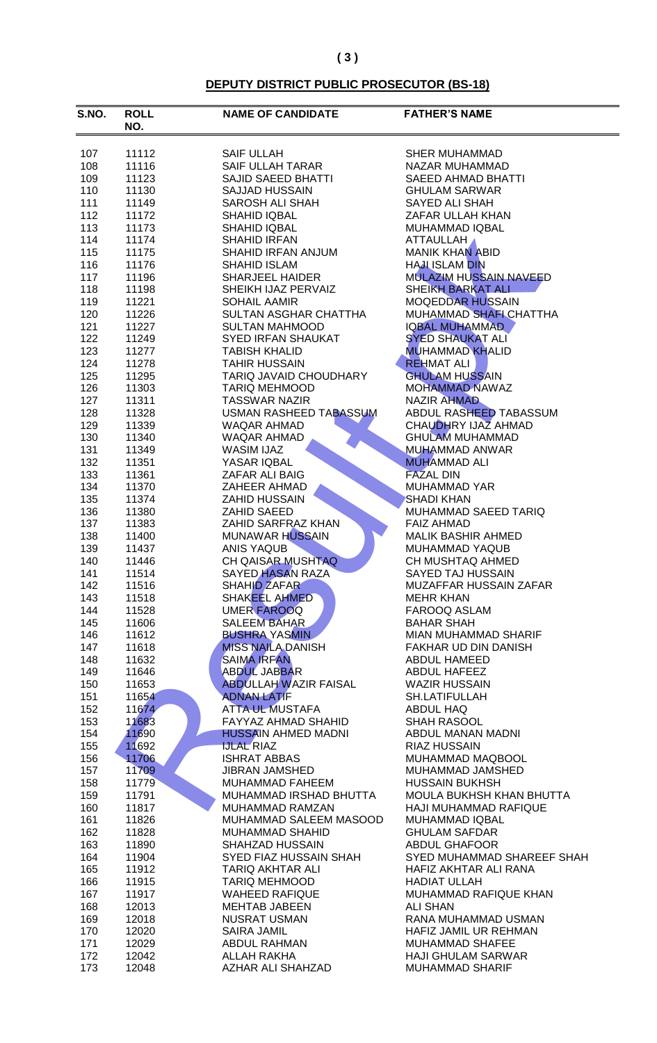# **DEPUTY DISTRICT PUBLIC PROSECUTOR (BS-18)**

| 107<br>11112<br><b>SAIF ULLAH</b><br>SHER MUHAMMAD<br>108<br>SAIF ULLAH TARAR<br>11116<br>NAZAR MUHAMMAD<br>109<br><b>SAJID SAEED BHATTI</b><br>11123<br><b>SAEED AHMAD BHATTI</b><br>110<br>SAJJAD HUSSAIN<br><b>GHULAM SARWAR</b><br>11130<br>111<br>11149<br>SAROSH ALI SHAH<br>SAYED ALI SHAH<br>112<br>ZAFAR ULLAH KHAN<br>11172<br><b>SHAHID IQBAL</b><br>113<br>SHAHID IQBAL<br>MUHAMMAD IQBAL<br>11173<br>114<br><b>SHAHID IRFAN</b><br>ATTAULLAH<br>11174<br><b>MANIK KHAN ABID</b><br>115<br>SHAHID IRFAN ANJUM<br>11175<br>116<br>SHAHID ISLAM<br><b>HAJLISLAM DIN</b><br>11176<br><b>MULAZIM HUSSAIN NAVEED</b><br>117<br><b>SHARJEEL HAIDER</b><br>11196<br><b>SHEIKH BARKAT ALI</b><br>118<br>SHEIKH IJAZ PERVAIZ<br>11198<br><b>MOQEDDAR HUSSAIN</b><br>119<br>11221<br><b>SOHAIL AAMIR</b><br>120<br>SULTAN ASGHAR CHATTHA<br>MUHAMMAD SHAFI CHATTHA<br>11226<br>121<br><b>IQBAL MUHAMMAD</b><br>11227<br><b>SULTAN MAHMOOD</b><br><b>SYED SHAUKAT ALI</b><br>122<br>SYED IRFAN SHAUKAT<br>11249<br>123<br><b>MUHAMMAD KHALID</b><br>11277<br><b>TABISH KHALID</b><br>124<br><b>REHMAT ALI</b><br>11278<br><b>TAHIR HUSSAIN</b><br>125<br><b>GHULAM HUSSAIN</b><br>11295<br>TARIQ JAVAID CHOUDHARY<br>126<br><b>MOHAMMAD NAWAZ</b><br>11303<br><b>TARIQ MEHMOOD</b><br><b>NAZIR AHMAD</b><br>127<br><b>TASSWAR NAZIR</b><br>11311<br>ABDUL RASHEED TABASSUM<br>128<br><b>USMAN RASHEED TABASSUM</b><br>11328<br>CHAUDHRY IJAZ AHMAD<br>129<br>11339<br>WAQAR AHMAD<br>130<br><b>GHULAM MUHAMMAD</b><br>11340<br>WAQAR AHMAD<br>131<br>11349<br><b>WASIM IJAZ</b><br>MUHAMMAD ANWAR<br>132<br><b>MUHAMMAD ALI</b><br>11351<br>YASAR IQBAL<br>133<br><b>FAZAL DIN</b><br>11361<br>ZAFAR ALI BAIG<br>134<br>ZAHEER AHMAD<br>MUHAMMAD YAR<br>11370<br>135<br><b>ZAHID HUSSAIN</b><br>11374<br><b>SHADI KHAN</b><br>136<br>ZAHID SAEED<br>MUHAMMAD SAEED TARIQ<br>11380<br>137<br>ZAHID SARFRAZ KHAN<br>11383<br><b>FAIZ AHMAD</b><br>138<br><b>MUNAWAR HUSSAIN</b><br><b>MALIK BASHIR AHMED</b><br>11400<br>139<br>ANIS YAQUB<br>11437<br>MUHAMMAD YAQUB<br>CH QAISAR MUSHTAQ<br>140<br>CH MUSHTAQ AHMED<br>11446<br>141<br><b>SAYED HASAN RAZA</b><br>SAYED TAJ HUSSAIN<br>11514<br>SHAHID ZAFAR<br>142<br>11516<br>MUZAFFAR HUSSAIN ZAFAR<br>SHAKEEL AHMED<br>143<br><b>MEHR KHAN</b><br>11518<br>144<br><b>UMER FAROOQ</b><br>11528<br>FAROOQ ASLAM<br>145<br><b>SALEEM BAHAR</b><br>11606<br><b>BAHAR SHAH</b><br><b>BUSHRA YASMIN</b><br>146<br>MIAN MUHAMMAD SHARIF<br>11612<br>147<br><b>MISS NAILA DANISH</b><br>11618<br>FAKHAR UD DIN DANISH<br><b>SAIMA IRFAN</b><br>148<br>11632<br>ABDUL HAMEED<br><b>ABDUL JABBAR</b><br>149<br>ABDUL HAFEEZ<br>11646<br>150<br><b>ABDULLAH WAZIR FAISAL</b><br>11653<br><b>WAZIR HUSSAIN</b><br>151<br><b>ADNAN LATIF</b><br>11654<br>SH.LATIFULLAH<br>152<br>11674<br>ATTA UL MUSTAFA<br>ABDUL HAQ<br>153<br>11683<br>FAYYAZ AHMAD SHAHID<br><b>SHAH RASOOL</b><br>11690<br>154<br><b>HUSSAIN AHMED MADNI</b><br>ABDUL MANAN MADNI<br>155<br>11692<br>RIAZ HUSSAIN<br><b>IJLAL RIAZ</b><br>156<br>11706<br><b>ISHRAT ABBAS</b><br>MUHAMMAD MAQBOOL<br>157<br>11709<br>JIBRAN JAMSHED<br>MUHAMMAD JAMSHED<br>158<br><b>HUSSAIN BUKHSH</b><br>11779<br>MUHAMMAD FAHEEM<br>159<br>11791<br>MUHAMMAD IRSHAD BHUTTA<br>MOULA BUKHSH KHAN BHUTTA<br>160<br>11817<br>MUHAMMAD RAMZAN<br>HAJI MUHAMMAD RAFIQUE<br>161<br>MUHAMMAD SALEEM MASOOD<br>11826<br>MUHAMMAD IQBAL<br>162<br>11828<br><b>MUHAMMAD SHAHID</b><br><b>GHULAM SAFDAR</b><br>163<br>11890<br>SHAHZAD HUSSAIN<br>ABDUL GHAFOOR<br>SYED MUHAMMAD SHAREEF SHAH<br>164<br>11904<br>SYED FIAZ HUSSAIN SHAH<br>165<br>11912<br><b>TARIQ AKHTAR ALI</b><br>HAFIZ AKHTAR ALI RANA<br>166<br>11915<br><b>TARIQ MEHMOOD</b><br><b>HADIAT ULLAH</b><br>MUHAMMAD RAFIQUE KHAN<br>167<br>11917<br><b>WAHEED RAFIQUE</b><br>168<br>12013<br><b>MEHTAB JABEEN</b><br><b>ALI SHAN</b><br>169<br>12018<br>NUSRAT USMAN<br>RANA MUHAMMAD USMAN<br>170<br><b>SAIRA JAMIL</b><br>12020<br>HAFIZ JAMIL UR REHMAN<br>171<br>12029<br>ABDUL RAHMAN<br><b>MUHAMMAD SHAFEE</b><br>172<br>12042<br><b>ALLAH RAKHA</b><br><b>HAJI GHULAM SARWAR</b><br>AZHAR ALI SHAHZAD<br>173<br>12048<br><b>MUHAMMAD SHARIF</b> | S.NO. | <b>ROLL</b><br>NO. | <b>NAME OF CANDIDATE</b> | <b>FATHER'S NAME</b> |
|----------------------------------------------------------------------------------------------------------------------------------------------------------------------------------------------------------------------------------------------------------------------------------------------------------------------------------------------------------------------------------------------------------------------------------------------------------------------------------------------------------------------------------------------------------------------------------------------------------------------------------------------------------------------------------------------------------------------------------------------------------------------------------------------------------------------------------------------------------------------------------------------------------------------------------------------------------------------------------------------------------------------------------------------------------------------------------------------------------------------------------------------------------------------------------------------------------------------------------------------------------------------------------------------------------------------------------------------------------------------------------------------------------------------------------------------------------------------------------------------------------------------------------------------------------------------------------------------------------------------------------------------------------------------------------------------------------------------------------------------------------------------------------------------------------------------------------------------------------------------------------------------------------------------------------------------------------------------------------------------------------------------------------------------------------------------------------------------------------------------------------------------------------------------------------------------------------------------------------------------------------------------------------------------------------------------------------------------------------------------------------------------------------------------------------------------------------------------------------------------------------------------------------------------------------------------------------------------------------------------------------------------------------------------------------------------------------------------------------------------------------------------------------------------------------------------------------------------------------------------------------------------------------------------------------------------------------------------------------------------------------------------------------------------------------------------------------------------------------------------------------------------------------------------------------------------------------------------------------------------------------------------------------------------------------------------------------------------------------------------------------------------------------------------------------------------------------------------------------------------------------------------------------------------------------------------------------------------------------------------------------------------------------------------------------------------------------------------------------------------------------------------------------------------------------------------------------------------------------------------------------------------------------------------------------------------------------------------------------------------------------------------------------------------------------------------------------------------------------------------------------------------------------------------------------------------------------------|-------|--------------------|--------------------------|----------------------|
|                                                                                                                                                                                                                                                                                                                                                                                                                                                                                                                                                                                                                                                                                                                                                                                                                                                                                                                                                                                                                                                                                                                                                                                                                                                                                                                                                                                                                                                                                                                                                                                                                                                                                                                                                                                                                                                                                                                                                                                                                                                                                                                                                                                                                                                                                                                                                                                                                                                                                                                                                                                                                                                                                                                                                                                                                                                                                                                                                                                                                                                                                                                                                                                                                                                                                                                                                                                                                                                                                                                                                                                                                                                                                                                                                                                                                                                                                                                                                                                                                                                                                                                                                                                                                |       |                    |                          |                      |
|                                                                                                                                                                                                                                                                                                                                                                                                                                                                                                                                                                                                                                                                                                                                                                                                                                                                                                                                                                                                                                                                                                                                                                                                                                                                                                                                                                                                                                                                                                                                                                                                                                                                                                                                                                                                                                                                                                                                                                                                                                                                                                                                                                                                                                                                                                                                                                                                                                                                                                                                                                                                                                                                                                                                                                                                                                                                                                                                                                                                                                                                                                                                                                                                                                                                                                                                                                                                                                                                                                                                                                                                                                                                                                                                                                                                                                                                                                                                                                                                                                                                                                                                                                                                                |       |                    |                          |                      |
|                                                                                                                                                                                                                                                                                                                                                                                                                                                                                                                                                                                                                                                                                                                                                                                                                                                                                                                                                                                                                                                                                                                                                                                                                                                                                                                                                                                                                                                                                                                                                                                                                                                                                                                                                                                                                                                                                                                                                                                                                                                                                                                                                                                                                                                                                                                                                                                                                                                                                                                                                                                                                                                                                                                                                                                                                                                                                                                                                                                                                                                                                                                                                                                                                                                                                                                                                                                                                                                                                                                                                                                                                                                                                                                                                                                                                                                                                                                                                                                                                                                                                                                                                                                                                |       |                    |                          |                      |
|                                                                                                                                                                                                                                                                                                                                                                                                                                                                                                                                                                                                                                                                                                                                                                                                                                                                                                                                                                                                                                                                                                                                                                                                                                                                                                                                                                                                                                                                                                                                                                                                                                                                                                                                                                                                                                                                                                                                                                                                                                                                                                                                                                                                                                                                                                                                                                                                                                                                                                                                                                                                                                                                                                                                                                                                                                                                                                                                                                                                                                                                                                                                                                                                                                                                                                                                                                                                                                                                                                                                                                                                                                                                                                                                                                                                                                                                                                                                                                                                                                                                                                                                                                                                                |       |                    |                          |                      |
|                                                                                                                                                                                                                                                                                                                                                                                                                                                                                                                                                                                                                                                                                                                                                                                                                                                                                                                                                                                                                                                                                                                                                                                                                                                                                                                                                                                                                                                                                                                                                                                                                                                                                                                                                                                                                                                                                                                                                                                                                                                                                                                                                                                                                                                                                                                                                                                                                                                                                                                                                                                                                                                                                                                                                                                                                                                                                                                                                                                                                                                                                                                                                                                                                                                                                                                                                                                                                                                                                                                                                                                                                                                                                                                                                                                                                                                                                                                                                                                                                                                                                                                                                                                                                |       |                    |                          |                      |
|                                                                                                                                                                                                                                                                                                                                                                                                                                                                                                                                                                                                                                                                                                                                                                                                                                                                                                                                                                                                                                                                                                                                                                                                                                                                                                                                                                                                                                                                                                                                                                                                                                                                                                                                                                                                                                                                                                                                                                                                                                                                                                                                                                                                                                                                                                                                                                                                                                                                                                                                                                                                                                                                                                                                                                                                                                                                                                                                                                                                                                                                                                                                                                                                                                                                                                                                                                                                                                                                                                                                                                                                                                                                                                                                                                                                                                                                                                                                                                                                                                                                                                                                                                                                                |       |                    |                          |                      |
|                                                                                                                                                                                                                                                                                                                                                                                                                                                                                                                                                                                                                                                                                                                                                                                                                                                                                                                                                                                                                                                                                                                                                                                                                                                                                                                                                                                                                                                                                                                                                                                                                                                                                                                                                                                                                                                                                                                                                                                                                                                                                                                                                                                                                                                                                                                                                                                                                                                                                                                                                                                                                                                                                                                                                                                                                                                                                                                                                                                                                                                                                                                                                                                                                                                                                                                                                                                                                                                                                                                                                                                                                                                                                                                                                                                                                                                                                                                                                                                                                                                                                                                                                                                                                |       |                    |                          |                      |
|                                                                                                                                                                                                                                                                                                                                                                                                                                                                                                                                                                                                                                                                                                                                                                                                                                                                                                                                                                                                                                                                                                                                                                                                                                                                                                                                                                                                                                                                                                                                                                                                                                                                                                                                                                                                                                                                                                                                                                                                                                                                                                                                                                                                                                                                                                                                                                                                                                                                                                                                                                                                                                                                                                                                                                                                                                                                                                                                                                                                                                                                                                                                                                                                                                                                                                                                                                                                                                                                                                                                                                                                                                                                                                                                                                                                                                                                                                                                                                                                                                                                                                                                                                                                                |       |                    |                          |                      |
|                                                                                                                                                                                                                                                                                                                                                                                                                                                                                                                                                                                                                                                                                                                                                                                                                                                                                                                                                                                                                                                                                                                                                                                                                                                                                                                                                                                                                                                                                                                                                                                                                                                                                                                                                                                                                                                                                                                                                                                                                                                                                                                                                                                                                                                                                                                                                                                                                                                                                                                                                                                                                                                                                                                                                                                                                                                                                                                                                                                                                                                                                                                                                                                                                                                                                                                                                                                                                                                                                                                                                                                                                                                                                                                                                                                                                                                                                                                                                                                                                                                                                                                                                                                                                |       |                    |                          |                      |
|                                                                                                                                                                                                                                                                                                                                                                                                                                                                                                                                                                                                                                                                                                                                                                                                                                                                                                                                                                                                                                                                                                                                                                                                                                                                                                                                                                                                                                                                                                                                                                                                                                                                                                                                                                                                                                                                                                                                                                                                                                                                                                                                                                                                                                                                                                                                                                                                                                                                                                                                                                                                                                                                                                                                                                                                                                                                                                                                                                                                                                                                                                                                                                                                                                                                                                                                                                                                                                                                                                                                                                                                                                                                                                                                                                                                                                                                                                                                                                                                                                                                                                                                                                                                                |       |                    |                          |                      |
|                                                                                                                                                                                                                                                                                                                                                                                                                                                                                                                                                                                                                                                                                                                                                                                                                                                                                                                                                                                                                                                                                                                                                                                                                                                                                                                                                                                                                                                                                                                                                                                                                                                                                                                                                                                                                                                                                                                                                                                                                                                                                                                                                                                                                                                                                                                                                                                                                                                                                                                                                                                                                                                                                                                                                                                                                                                                                                                                                                                                                                                                                                                                                                                                                                                                                                                                                                                                                                                                                                                                                                                                                                                                                                                                                                                                                                                                                                                                                                                                                                                                                                                                                                                                                |       |                    |                          |                      |
|                                                                                                                                                                                                                                                                                                                                                                                                                                                                                                                                                                                                                                                                                                                                                                                                                                                                                                                                                                                                                                                                                                                                                                                                                                                                                                                                                                                                                                                                                                                                                                                                                                                                                                                                                                                                                                                                                                                                                                                                                                                                                                                                                                                                                                                                                                                                                                                                                                                                                                                                                                                                                                                                                                                                                                                                                                                                                                                                                                                                                                                                                                                                                                                                                                                                                                                                                                                                                                                                                                                                                                                                                                                                                                                                                                                                                                                                                                                                                                                                                                                                                                                                                                                                                |       |                    |                          |                      |
|                                                                                                                                                                                                                                                                                                                                                                                                                                                                                                                                                                                                                                                                                                                                                                                                                                                                                                                                                                                                                                                                                                                                                                                                                                                                                                                                                                                                                                                                                                                                                                                                                                                                                                                                                                                                                                                                                                                                                                                                                                                                                                                                                                                                                                                                                                                                                                                                                                                                                                                                                                                                                                                                                                                                                                                                                                                                                                                                                                                                                                                                                                                                                                                                                                                                                                                                                                                                                                                                                                                                                                                                                                                                                                                                                                                                                                                                                                                                                                                                                                                                                                                                                                                                                |       |                    |                          |                      |
|                                                                                                                                                                                                                                                                                                                                                                                                                                                                                                                                                                                                                                                                                                                                                                                                                                                                                                                                                                                                                                                                                                                                                                                                                                                                                                                                                                                                                                                                                                                                                                                                                                                                                                                                                                                                                                                                                                                                                                                                                                                                                                                                                                                                                                                                                                                                                                                                                                                                                                                                                                                                                                                                                                                                                                                                                                                                                                                                                                                                                                                                                                                                                                                                                                                                                                                                                                                                                                                                                                                                                                                                                                                                                                                                                                                                                                                                                                                                                                                                                                                                                                                                                                                                                |       |                    |                          |                      |
|                                                                                                                                                                                                                                                                                                                                                                                                                                                                                                                                                                                                                                                                                                                                                                                                                                                                                                                                                                                                                                                                                                                                                                                                                                                                                                                                                                                                                                                                                                                                                                                                                                                                                                                                                                                                                                                                                                                                                                                                                                                                                                                                                                                                                                                                                                                                                                                                                                                                                                                                                                                                                                                                                                                                                                                                                                                                                                                                                                                                                                                                                                                                                                                                                                                                                                                                                                                                                                                                                                                                                                                                                                                                                                                                                                                                                                                                                                                                                                                                                                                                                                                                                                                                                |       |                    |                          |                      |
|                                                                                                                                                                                                                                                                                                                                                                                                                                                                                                                                                                                                                                                                                                                                                                                                                                                                                                                                                                                                                                                                                                                                                                                                                                                                                                                                                                                                                                                                                                                                                                                                                                                                                                                                                                                                                                                                                                                                                                                                                                                                                                                                                                                                                                                                                                                                                                                                                                                                                                                                                                                                                                                                                                                                                                                                                                                                                                                                                                                                                                                                                                                                                                                                                                                                                                                                                                                                                                                                                                                                                                                                                                                                                                                                                                                                                                                                                                                                                                                                                                                                                                                                                                                                                |       |                    |                          |                      |
|                                                                                                                                                                                                                                                                                                                                                                                                                                                                                                                                                                                                                                                                                                                                                                                                                                                                                                                                                                                                                                                                                                                                                                                                                                                                                                                                                                                                                                                                                                                                                                                                                                                                                                                                                                                                                                                                                                                                                                                                                                                                                                                                                                                                                                                                                                                                                                                                                                                                                                                                                                                                                                                                                                                                                                                                                                                                                                                                                                                                                                                                                                                                                                                                                                                                                                                                                                                                                                                                                                                                                                                                                                                                                                                                                                                                                                                                                                                                                                                                                                                                                                                                                                                                                |       |                    |                          |                      |
|                                                                                                                                                                                                                                                                                                                                                                                                                                                                                                                                                                                                                                                                                                                                                                                                                                                                                                                                                                                                                                                                                                                                                                                                                                                                                                                                                                                                                                                                                                                                                                                                                                                                                                                                                                                                                                                                                                                                                                                                                                                                                                                                                                                                                                                                                                                                                                                                                                                                                                                                                                                                                                                                                                                                                                                                                                                                                                                                                                                                                                                                                                                                                                                                                                                                                                                                                                                                                                                                                                                                                                                                                                                                                                                                                                                                                                                                                                                                                                                                                                                                                                                                                                                                                |       |                    |                          |                      |
|                                                                                                                                                                                                                                                                                                                                                                                                                                                                                                                                                                                                                                                                                                                                                                                                                                                                                                                                                                                                                                                                                                                                                                                                                                                                                                                                                                                                                                                                                                                                                                                                                                                                                                                                                                                                                                                                                                                                                                                                                                                                                                                                                                                                                                                                                                                                                                                                                                                                                                                                                                                                                                                                                                                                                                                                                                                                                                                                                                                                                                                                                                                                                                                                                                                                                                                                                                                                                                                                                                                                                                                                                                                                                                                                                                                                                                                                                                                                                                                                                                                                                                                                                                                                                |       |                    |                          |                      |
|                                                                                                                                                                                                                                                                                                                                                                                                                                                                                                                                                                                                                                                                                                                                                                                                                                                                                                                                                                                                                                                                                                                                                                                                                                                                                                                                                                                                                                                                                                                                                                                                                                                                                                                                                                                                                                                                                                                                                                                                                                                                                                                                                                                                                                                                                                                                                                                                                                                                                                                                                                                                                                                                                                                                                                                                                                                                                                                                                                                                                                                                                                                                                                                                                                                                                                                                                                                                                                                                                                                                                                                                                                                                                                                                                                                                                                                                                                                                                                                                                                                                                                                                                                                                                |       |                    |                          |                      |
|                                                                                                                                                                                                                                                                                                                                                                                                                                                                                                                                                                                                                                                                                                                                                                                                                                                                                                                                                                                                                                                                                                                                                                                                                                                                                                                                                                                                                                                                                                                                                                                                                                                                                                                                                                                                                                                                                                                                                                                                                                                                                                                                                                                                                                                                                                                                                                                                                                                                                                                                                                                                                                                                                                                                                                                                                                                                                                                                                                                                                                                                                                                                                                                                                                                                                                                                                                                                                                                                                                                                                                                                                                                                                                                                                                                                                                                                                                                                                                                                                                                                                                                                                                                                                |       |                    |                          |                      |
|                                                                                                                                                                                                                                                                                                                                                                                                                                                                                                                                                                                                                                                                                                                                                                                                                                                                                                                                                                                                                                                                                                                                                                                                                                                                                                                                                                                                                                                                                                                                                                                                                                                                                                                                                                                                                                                                                                                                                                                                                                                                                                                                                                                                                                                                                                                                                                                                                                                                                                                                                                                                                                                                                                                                                                                                                                                                                                                                                                                                                                                                                                                                                                                                                                                                                                                                                                                                                                                                                                                                                                                                                                                                                                                                                                                                                                                                                                                                                                                                                                                                                                                                                                                                                |       |                    |                          |                      |
|                                                                                                                                                                                                                                                                                                                                                                                                                                                                                                                                                                                                                                                                                                                                                                                                                                                                                                                                                                                                                                                                                                                                                                                                                                                                                                                                                                                                                                                                                                                                                                                                                                                                                                                                                                                                                                                                                                                                                                                                                                                                                                                                                                                                                                                                                                                                                                                                                                                                                                                                                                                                                                                                                                                                                                                                                                                                                                                                                                                                                                                                                                                                                                                                                                                                                                                                                                                                                                                                                                                                                                                                                                                                                                                                                                                                                                                                                                                                                                                                                                                                                                                                                                                                                |       |                    |                          |                      |
|                                                                                                                                                                                                                                                                                                                                                                                                                                                                                                                                                                                                                                                                                                                                                                                                                                                                                                                                                                                                                                                                                                                                                                                                                                                                                                                                                                                                                                                                                                                                                                                                                                                                                                                                                                                                                                                                                                                                                                                                                                                                                                                                                                                                                                                                                                                                                                                                                                                                                                                                                                                                                                                                                                                                                                                                                                                                                                                                                                                                                                                                                                                                                                                                                                                                                                                                                                                                                                                                                                                                                                                                                                                                                                                                                                                                                                                                                                                                                                                                                                                                                                                                                                                                                |       |                    |                          |                      |
|                                                                                                                                                                                                                                                                                                                                                                                                                                                                                                                                                                                                                                                                                                                                                                                                                                                                                                                                                                                                                                                                                                                                                                                                                                                                                                                                                                                                                                                                                                                                                                                                                                                                                                                                                                                                                                                                                                                                                                                                                                                                                                                                                                                                                                                                                                                                                                                                                                                                                                                                                                                                                                                                                                                                                                                                                                                                                                                                                                                                                                                                                                                                                                                                                                                                                                                                                                                                                                                                                                                                                                                                                                                                                                                                                                                                                                                                                                                                                                                                                                                                                                                                                                                                                |       |                    |                          |                      |
|                                                                                                                                                                                                                                                                                                                                                                                                                                                                                                                                                                                                                                                                                                                                                                                                                                                                                                                                                                                                                                                                                                                                                                                                                                                                                                                                                                                                                                                                                                                                                                                                                                                                                                                                                                                                                                                                                                                                                                                                                                                                                                                                                                                                                                                                                                                                                                                                                                                                                                                                                                                                                                                                                                                                                                                                                                                                                                                                                                                                                                                                                                                                                                                                                                                                                                                                                                                                                                                                                                                                                                                                                                                                                                                                                                                                                                                                                                                                                                                                                                                                                                                                                                                                                |       |                    |                          |                      |
|                                                                                                                                                                                                                                                                                                                                                                                                                                                                                                                                                                                                                                                                                                                                                                                                                                                                                                                                                                                                                                                                                                                                                                                                                                                                                                                                                                                                                                                                                                                                                                                                                                                                                                                                                                                                                                                                                                                                                                                                                                                                                                                                                                                                                                                                                                                                                                                                                                                                                                                                                                                                                                                                                                                                                                                                                                                                                                                                                                                                                                                                                                                                                                                                                                                                                                                                                                                                                                                                                                                                                                                                                                                                                                                                                                                                                                                                                                                                                                                                                                                                                                                                                                                                                |       |                    |                          |                      |
|                                                                                                                                                                                                                                                                                                                                                                                                                                                                                                                                                                                                                                                                                                                                                                                                                                                                                                                                                                                                                                                                                                                                                                                                                                                                                                                                                                                                                                                                                                                                                                                                                                                                                                                                                                                                                                                                                                                                                                                                                                                                                                                                                                                                                                                                                                                                                                                                                                                                                                                                                                                                                                                                                                                                                                                                                                                                                                                                                                                                                                                                                                                                                                                                                                                                                                                                                                                                                                                                                                                                                                                                                                                                                                                                                                                                                                                                                                                                                                                                                                                                                                                                                                                                                |       |                    |                          |                      |
|                                                                                                                                                                                                                                                                                                                                                                                                                                                                                                                                                                                                                                                                                                                                                                                                                                                                                                                                                                                                                                                                                                                                                                                                                                                                                                                                                                                                                                                                                                                                                                                                                                                                                                                                                                                                                                                                                                                                                                                                                                                                                                                                                                                                                                                                                                                                                                                                                                                                                                                                                                                                                                                                                                                                                                                                                                                                                                                                                                                                                                                                                                                                                                                                                                                                                                                                                                                                                                                                                                                                                                                                                                                                                                                                                                                                                                                                                                                                                                                                                                                                                                                                                                                                                |       |                    |                          |                      |
|                                                                                                                                                                                                                                                                                                                                                                                                                                                                                                                                                                                                                                                                                                                                                                                                                                                                                                                                                                                                                                                                                                                                                                                                                                                                                                                                                                                                                                                                                                                                                                                                                                                                                                                                                                                                                                                                                                                                                                                                                                                                                                                                                                                                                                                                                                                                                                                                                                                                                                                                                                                                                                                                                                                                                                                                                                                                                                                                                                                                                                                                                                                                                                                                                                                                                                                                                                                                                                                                                                                                                                                                                                                                                                                                                                                                                                                                                                                                                                                                                                                                                                                                                                                                                |       |                    |                          |                      |
|                                                                                                                                                                                                                                                                                                                                                                                                                                                                                                                                                                                                                                                                                                                                                                                                                                                                                                                                                                                                                                                                                                                                                                                                                                                                                                                                                                                                                                                                                                                                                                                                                                                                                                                                                                                                                                                                                                                                                                                                                                                                                                                                                                                                                                                                                                                                                                                                                                                                                                                                                                                                                                                                                                                                                                                                                                                                                                                                                                                                                                                                                                                                                                                                                                                                                                                                                                                                                                                                                                                                                                                                                                                                                                                                                                                                                                                                                                                                                                                                                                                                                                                                                                                                                |       |                    |                          |                      |
|                                                                                                                                                                                                                                                                                                                                                                                                                                                                                                                                                                                                                                                                                                                                                                                                                                                                                                                                                                                                                                                                                                                                                                                                                                                                                                                                                                                                                                                                                                                                                                                                                                                                                                                                                                                                                                                                                                                                                                                                                                                                                                                                                                                                                                                                                                                                                                                                                                                                                                                                                                                                                                                                                                                                                                                                                                                                                                                                                                                                                                                                                                                                                                                                                                                                                                                                                                                                                                                                                                                                                                                                                                                                                                                                                                                                                                                                                                                                                                                                                                                                                                                                                                                                                |       |                    |                          |                      |
|                                                                                                                                                                                                                                                                                                                                                                                                                                                                                                                                                                                                                                                                                                                                                                                                                                                                                                                                                                                                                                                                                                                                                                                                                                                                                                                                                                                                                                                                                                                                                                                                                                                                                                                                                                                                                                                                                                                                                                                                                                                                                                                                                                                                                                                                                                                                                                                                                                                                                                                                                                                                                                                                                                                                                                                                                                                                                                                                                                                                                                                                                                                                                                                                                                                                                                                                                                                                                                                                                                                                                                                                                                                                                                                                                                                                                                                                                                                                                                                                                                                                                                                                                                                                                |       |                    |                          |                      |
|                                                                                                                                                                                                                                                                                                                                                                                                                                                                                                                                                                                                                                                                                                                                                                                                                                                                                                                                                                                                                                                                                                                                                                                                                                                                                                                                                                                                                                                                                                                                                                                                                                                                                                                                                                                                                                                                                                                                                                                                                                                                                                                                                                                                                                                                                                                                                                                                                                                                                                                                                                                                                                                                                                                                                                                                                                                                                                                                                                                                                                                                                                                                                                                                                                                                                                                                                                                                                                                                                                                                                                                                                                                                                                                                                                                                                                                                                                                                                                                                                                                                                                                                                                                                                |       |                    |                          |                      |
|                                                                                                                                                                                                                                                                                                                                                                                                                                                                                                                                                                                                                                                                                                                                                                                                                                                                                                                                                                                                                                                                                                                                                                                                                                                                                                                                                                                                                                                                                                                                                                                                                                                                                                                                                                                                                                                                                                                                                                                                                                                                                                                                                                                                                                                                                                                                                                                                                                                                                                                                                                                                                                                                                                                                                                                                                                                                                                                                                                                                                                                                                                                                                                                                                                                                                                                                                                                                                                                                                                                                                                                                                                                                                                                                                                                                                                                                                                                                                                                                                                                                                                                                                                                                                |       |                    |                          |                      |
|                                                                                                                                                                                                                                                                                                                                                                                                                                                                                                                                                                                                                                                                                                                                                                                                                                                                                                                                                                                                                                                                                                                                                                                                                                                                                                                                                                                                                                                                                                                                                                                                                                                                                                                                                                                                                                                                                                                                                                                                                                                                                                                                                                                                                                                                                                                                                                                                                                                                                                                                                                                                                                                                                                                                                                                                                                                                                                                                                                                                                                                                                                                                                                                                                                                                                                                                                                                                                                                                                                                                                                                                                                                                                                                                                                                                                                                                                                                                                                                                                                                                                                                                                                                                                |       |                    |                          |                      |
|                                                                                                                                                                                                                                                                                                                                                                                                                                                                                                                                                                                                                                                                                                                                                                                                                                                                                                                                                                                                                                                                                                                                                                                                                                                                                                                                                                                                                                                                                                                                                                                                                                                                                                                                                                                                                                                                                                                                                                                                                                                                                                                                                                                                                                                                                                                                                                                                                                                                                                                                                                                                                                                                                                                                                                                                                                                                                                                                                                                                                                                                                                                                                                                                                                                                                                                                                                                                                                                                                                                                                                                                                                                                                                                                                                                                                                                                                                                                                                                                                                                                                                                                                                                                                |       |                    |                          |                      |
|                                                                                                                                                                                                                                                                                                                                                                                                                                                                                                                                                                                                                                                                                                                                                                                                                                                                                                                                                                                                                                                                                                                                                                                                                                                                                                                                                                                                                                                                                                                                                                                                                                                                                                                                                                                                                                                                                                                                                                                                                                                                                                                                                                                                                                                                                                                                                                                                                                                                                                                                                                                                                                                                                                                                                                                                                                                                                                                                                                                                                                                                                                                                                                                                                                                                                                                                                                                                                                                                                                                                                                                                                                                                                                                                                                                                                                                                                                                                                                                                                                                                                                                                                                                                                |       |                    |                          |                      |
|                                                                                                                                                                                                                                                                                                                                                                                                                                                                                                                                                                                                                                                                                                                                                                                                                                                                                                                                                                                                                                                                                                                                                                                                                                                                                                                                                                                                                                                                                                                                                                                                                                                                                                                                                                                                                                                                                                                                                                                                                                                                                                                                                                                                                                                                                                                                                                                                                                                                                                                                                                                                                                                                                                                                                                                                                                                                                                                                                                                                                                                                                                                                                                                                                                                                                                                                                                                                                                                                                                                                                                                                                                                                                                                                                                                                                                                                                                                                                                                                                                                                                                                                                                                                                |       |                    |                          |                      |
|                                                                                                                                                                                                                                                                                                                                                                                                                                                                                                                                                                                                                                                                                                                                                                                                                                                                                                                                                                                                                                                                                                                                                                                                                                                                                                                                                                                                                                                                                                                                                                                                                                                                                                                                                                                                                                                                                                                                                                                                                                                                                                                                                                                                                                                                                                                                                                                                                                                                                                                                                                                                                                                                                                                                                                                                                                                                                                                                                                                                                                                                                                                                                                                                                                                                                                                                                                                                                                                                                                                                                                                                                                                                                                                                                                                                                                                                                                                                                                                                                                                                                                                                                                                                                |       |                    |                          |                      |
|                                                                                                                                                                                                                                                                                                                                                                                                                                                                                                                                                                                                                                                                                                                                                                                                                                                                                                                                                                                                                                                                                                                                                                                                                                                                                                                                                                                                                                                                                                                                                                                                                                                                                                                                                                                                                                                                                                                                                                                                                                                                                                                                                                                                                                                                                                                                                                                                                                                                                                                                                                                                                                                                                                                                                                                                                                                                                                                                                                                                                                                                                                                                                                                                                                                                                                                                                                                                                                                                                                                                                                                                                                                                                                                                                                                                                                                                                                                                                                                                                                                                                                                                                                                                                |       |                    |                          |                      |
|                                                                                                                                                                                                                                                                                                                                                                                                                                                                                                                                                                                                                                                                                                                                                                                                                                                                                                                                                                                                                                                                                                                                                                                                                                                                                                                                                                                                                                                                                                                                                                                                                                                                                                                                                                                                                                                                                                                                                                                                                                                                                                                                                                                                                                                                                                                                                                                                                                                                                                                                                                                                                                                                                                                                                                                                                                                                                                                                                                                                                                                                                                                                                                                                                                                                                                                                                                                                                                                                                                                                                                                                                                                                                                                                                                                                                                                                                                                                                                                                                                                                                                                                                                                                                |       |                    |                          |                      |
|                                                                                                                                                                                                                                                                                                                                                                                                                                                                                                                                                                                                                                                                                                                                                                                                                                                                                                                                                                                                                                                                                                                                                                                                                                                                                                                                                                                                                                                                                                                                                                                                                                                                                                                                                                                                                                                                                                                                                                                                                                                                                                                                                                                                                                                                                                                                                                                                                                                                                                                                                                                                                                                                                                                                                                                                                                                                                                                                                                                                                                                                                                                                                                                                                                                                                                                                                                                                                                                                                                                                                                                                                                                                                                                                                                                                                                                                                                                                                                                                                                                                                                                                                                                                                |       |                    |                          |                      |
|                                                                                                                                                                                                                                                                                                                                                                                                                                                                                                                                                                                                                                                                                                                                                                                                                                                                                                                                                                                                                                                                                                                                                                                                                                                                                                                                                                                                                                                                                                                                                                                                                                                                                                                                                                                                                                                                                                                                                                                                                                                                                                                                                                                                                                                                                                                                                                                                                                                                                                                                                                                                                                                                                                                                                                                                                                                                                                                                                                                                                                                                                                                                                                                                                                                                                                                                                                                                                                                                                                                                                                                                                                                                                                                                                                                                                                                                                                                                                                                                                                                                                                                                                                                                                |       |                    |                          |                      |
|                                                                                                                                                                                                                                                                                                                                                                                                                                                                                                                                                                                                                                                                                                                                                                                                                                                                                                                                                                                                                                                                                                                                                                                                                                                                                                                                                                                                                                                                                                                                                                                                                                                                                                                                                                                                                                                                                                                                                                                                                                                                                                                                                                                                                                                                                                                                                                                                                                                                                                                                                                                                                                                                                                                                                                                                                                                                                                                                                                                                                                                                                                                                                                                                                                                                                                                                                                                                                                                                                                                                                                                                                                                                                                                                                                                                                                                                                                                                                                                                                                                                                                                                                                                                                |       |                    |                          |                      |
|                                                                                                                                                                                                                                                                                                                                                                                                                                                                                                                                                                                                                                                                                                                                                                                                                                                                                                                                                                                                                                                                                                                                                                                                                                                                                                                                                                                                                                                                                                                                                                                                                                                                                                                                                                                                                                                                                                                                                                                                                                                                                                                                                                                                                                                                                                                                                                                                                                                                                                                                                                                                                                                                                                                                                                                                                                                                                                                                                                                                                                                                                                                                                                                                                                                                                                                                                                                                                                                                                                                                                                                                                                                                                                                                                                                                                                                                                                                                                                                                                                                                                                                                                                                                                |       |                    |                          |                      |
|                                                                                                                                                                                                                                                                                                                                                                                                                                                                                                                                                                                                                                                                                                                                                                                                                                                                                                                                                                                                                                                                                                                                                                                                                                                                                                                                                                                                                                                                                                                                                                                                                                                                                                                                                                                                                                                                                                                                                                                                                                                                                                                                                                                                                                                                                                                                                                                                                                                                                                                                                                                                                                                                                                                                                                                                                                                                                                                                                                                                                                                                                                                                                                                                                                                                                                                                                                                                                                                                                                                                                                                                                                                                                                                                                                                                                                                                                                                                                                                                                                                                                                                                                                                                                |       |                    |                          |                      |
|                                                                                                                                                                                                                                                                                                                                                                                                                                                                                                                                                                                                                                                                                                                                                                                                                                                                                                                                                                                                                                                                                                                                                                                                                                                                                                                                                                                                                                                                                                                                                                                                                                                                                                                                                                                                                                                                                                                                                                                                                                                                                                                                                                                                                                                                                                                                                                                                                                                                                                                                                                                                                                                                                                                                                                                                                                                                                                                                                                                                                                                                                                                                                                                                                                                                                                                                                                                                                                                                                                                                                                                                                                                                                                                                                                                                                                                                                                                                                                                                                                                                                                                                                                                                                |       |                    |                          |                      |
|                                                                                                                                                                                                                                                                                                                                                                                                                                                                                                                                                                                                                                                                                                                                                                                                                                                                                                                                                                                                                                                                                                                                                                                                                                                                                                                                                                                                                                                                                                                                                                                                                                                                                                                                                                                                                                                                                                                                                                                                                                                                                                                                                                                                                                                                                                                                                                                                                                                                                                                                                                                                                                                                                                                                                                                                                                                                                                                                                                                                                                                                                                                                                                                                                                                                                                                                                                                                                                                                                                                                                                                                                                                                                                                                                                                                                                                                                                                                                                                                                                                                                                                                                                                                                |       |                    |                          |                      |
|                                                                                                                                                                                                                                                                                                                                                                                                                                                                                                                                                                                                                                                                                                                                                                                                                                                                                                                                                                                                                                                                                                                                                                                                                                                                                                                                                                                                                                                                                                                                                                                                                                                                                                                                                                                                                                                                                                                                                                                                                                                                                                                                                                                                                                                                                                                                                                                                                                                                                                                                                                                                                                                                                                                                                                                                                                                                                                                                                                                                                                                                                                                                                                                                                                                                                                                                                                                                                                                                                                                                                                                                                                                                                                                                                                                                                                                                                                                                                                                                                                                                                                                                                                                                                |       |                    |                          |                      |
|                                                                                                                                                                                                                                                                                                                                                                                                                                                                                                                                                                                                                                                                                                                                                                                                                                                                                                                                                                                                                                                                                                                                                                                                                                                                                                                                                                                                                                                                                                                                                                                                                                                                                                                                                                                                                                                                                                                                                                                                                                                                                                                                                                                                                                                                                                                                                                                                                                                                                                                                                                                                                                                                                                                                                                                                                                                                                                                                                                                                                                                                                                                                                                                                                                                                                                                                                                                                                                                                                                                                                                                                                                                                                                                                                                                                                                                                                                                                                                                                                                                                                                                                                                                                                |       |                    |                          |                      |
|                                                                                                                                                                                                                                                                                                                                                                                                                                                                                                                                                                                                                                                                                                                                                                                                                                                                                                                                                                                                                                                                                                                                                                                                                                                                                                                                                                                                                                                                                                                                                                                                                                                                                                                                                                                                                                                                                                                                                                                                                                                                                                                                                                                                                                                                                                                                                                                                                                                                                                                                                                                                                                                                                                                                                                                                                                                                                                                                                                                                                                                                                                                                                                                                                                                                                                                                                                                                                                                                                                                                                                                                                                                                                                                                                                                                                                                                                                                                                                                                                                                                                                                                                                                                                |       |                    |                          |                      |
|                                                                                                                                                                                                                                                                                                                                                                                                                                                                                                                                                                                                                                                                                                                                                                                                                                                                                                                                                                                                                                                                                                                                                                                                                                                                                                                                                                                                                                                                                                                                                                                                                                                                                                                                                                                                                                                                                                                                                                                                                                                                                                                                                                                                                                                                                                                                                                                                                                                                                                                                                                                                                                                                                                                                                                                                                                                                                                                                                                                                                                                                                                                                                                                                                                                                                                                                                                                                                                                                                                                                                                                                                                                                                                                                                                                                                                                                                                                                                                                                                                                                                                                                                                                                                |       |                    |                          |                      |
|                                                                                                                                                                                                                                                                                                                                                                                                                                                                                                                                                                                                                                                                                                                                                                                                                                                                                                                                                                                                                                                                                                                                                                                                                                                                                                                                                                                                                                                                                                                                                                                                                                                                                                                                                                                                                                                                                                                                                                                                                                                                                                                                                                                                                                                                                                                                                                                                                                                                                                                                                                                                                                                                                                                                                                                                                                                                                                                                                                                                                                                                                                                                                                                                                                                                                                                                                                                                                                                                                                                                                                                                                                                                                                                                                                                                                                                                                                                                                                                                                                                                                                                                                                                                                |       |                    |                          |                      |
|                                                                                                                                                                                                                                                                                                                                                                                                                                                                                                                                                                                                                                                                                                                                                                                                                                                                                                                                                                                                                                                                                                                                                                                                                                                                                                                                                                                                                                                                                                                                                                                                                                                                                                                                                                                                                                                                                                                                                                                                                                                                                                                                                                                                                                                                                                                                                                                                                                                                                                                                                                                                                                                                                                                                                                                                                                                                                                                                                                                                                                                                                                                                                                                                                                                                                                                                                                                                                                                                                                                                                                                                                                                                                                                                                                                                                                                                                                                                                                                                                                                                                                                                                                                                                |       |                    |                          |                      |
|                                                                                                                                                                                                                                                                                                                                                                                                                                                                                                                                                                                                                                                                                                                                                                                                                                                                                                                                                                                                                                                                                                                                                                                                                                                                                                                                                                                                                                                                                                                                                                                                                                                                                                                                                                                                                                                                                                                                                                                                                                                                                                                                                                                                                                                                                                                                                                                                                                                                                                                                                                                                                                                                                                                                                                                                                                                                                                                                                                                                                                                                                                                                                                                                                                                                                                                                                                                                                                                                                                                                                                                                                                                                                                                                                                                                                                                                                                                                                                                                                                                                                                                                                                                                                |       |                    |                          |                      |
|                                                                                                                                                                                                                                                                                                                                                                                                                                                                                                                                                                                                                                                                                                                                                                                                                                                                                                                                                                                                                                                                                                                                                                                                                                                                                                                                                                                                                                                                                                                                                                                                                                                                                                                                                                                                                                                                                                                                                                                                                                                                                                                                                                                                                                                                                                                                                                                                                                                                                                                                                                                                                                                                                                                                                                                                                                                                                                                                                                                                                                                                                                                                                                                                                                                                                                                                                                                                                                                                                                                                                                                                                                                                                                                                                                                                                                                                                                                                                                                                                                                                                                                                                                                                                |       |                    |                          |                      |
|                                                                                                                                                                                                                                                                                                                                                                                                                                                                                                                                                                                                                                                                                                                                                                                                                                                                                                                                                                                                                                                                                                                                                                                                                                                                                                                                                                                                                                                                                                                                                                                                                                                                                                                                                                                                                                                                                                                                                                                                                                                                                                                                                                                                                                                                                                                                                                                                                                                                                                                                                                                                                                                                                                                                                                                                                                                                                                                                                                                                                                                                                                                                                                                                                                                                                                                                                                                                                                                                                                                                                                                                                                                                                                                                                                                                                                                                                                                                                                                                                                                                                                                                                                                                                |       |                    |                          |                      |
|                                                                                                                                                                                                                                                                                                                                                                                                                                                                                                                                                                                                                                                                                                                                                                                                                                                                                                                                                                                                                                                                                                                                                                                                                                                                                                                                                                                                                                                                                                                                                                                                                                                                                                                                                                                                                                                                                                                                                                                                                                                                                                                                                                                                                                                                                                                                                                                                                                                                                                                                                                                                                                                                                                                                                                                                                                                                                                                                                                                                                                                                                                                                                                                                                                                                                                                                                                                                                                                                                                                                                                                                                                                                                                                                                                                                                                                                                                                                                                                                                                                                                                                                                                                                                |       |                    |                          |                      |
|                                                                                                                                                                                                                                                                                                                                                                                                                                                                                                                                                                                                                                                                                                                                                                                                                                                                                                                                                                                                                                                                                                                                                                                                                                                                                                                                                                                                                                                                                                                                                                                                                                                                                                                                                                                                                                                                                                                                                                                                                                                                                                                                                                                                                                                                                                                                                                                                                                                                                                                                                                                                                                                                                                                                                                                                                                                                                                                                                                                                                                                                                                                                                                                                                                                                                                                                                                                                                                                                                                                                                                                                                                                                                                                                                                                                                                                                                                                                                                                                                                                                                                                                                                                                                |       |                    |                          |                      |
|                                                                                                                                                                                                                                                                                                                                                                                                                                                                                                                                                                                                                                                                                                                                                                                                                                                                                                                                                                                                                                                                                                                                                                                                                                                                                                                                                                                                                                                                                                                                                                                                                                                                                                                                                                                                                                                                                                                                                                                                                                                                                                                                                                                                                                                                                                                                                                                                                                                                                                                                                                                                                                                                                                                                                                                                                                                                                                                                                                                                                                                                                                                                                                                                                                                                                                                                                                                                                                                                                                                                                                                                                                                                                                                                                                                                                                                                                                                                                                                                                                                                                                                                                                                                                |       |                    |                          |                      |
|                                                                                                                                                                                                                                                                                                                                                                                                                                                                                                                                                                                                                                                                                                                                                                                                                                                                                                                                                                                                                                                                                                                                                                                                                                                                                                                                                                                                                                                                                                                                                                                                                                                                                                                                                                                                                                                                                                                                                                                                                                                                                                                                                                                                                                                                                                                                                                                                                                                                                                                                                                                                                                                                                                                                                                                                                                                                                                                                                                                                                                                                                                                                                                                                                                                                                                                                                                                                                                                                                                                                                                                                                                                                                                                                                                                                                                                                                                                                                                                                                                                                                                                                                                                                                |       |                    |                          |                      |
|                                                                                                                                                                                                                                                                                                                                                                                                                                                                                                                                                                                                                                                                                                                                                                                                                                                                                                                                                                                                                                                                                                                                                                                                                                                                                                                                                                                                                                                                                                                                                                                                                                                                                                                                                                                                                                                                                                                                                                                                                                                                                                                                                                                                                                                                                                                                                                                                                                                                                                                                                                                                                                                                                                                                                                                                                                                                                                                                                                                                                                                                                                                                                                                                                                                                                                                                                                                                                                                                                                                                                                                                                                                                                                                                                                                                                                                                                                                                                                                                                                                                                                                                                                                                                |       |                    |                          |                      |
|                                                                                                                                                                                                                                                                                                                                                                                                                                                                                                                                                                                                                                                                                                                                                                                                                                                                                                                                                                                                                                                                                                                                                                                                                                                                                                                                                                                                                                                                                                                                                                                                                                                                                                                                                                                                                                                                                                                                                                                                                                                                                                                                                                                                                                                                                                                                                                                                                                                                                                                                                                                                                                                                                                                                                                                                                                                                                                                                                                                                                                                                                                                                                                                                                                                                                                                                                                                                                                                                                                                                                                                                                                                                                                                                                                                                                                                                                                                                                                                                                                                                                                                                                                                                                |       |                    |                          |                      |